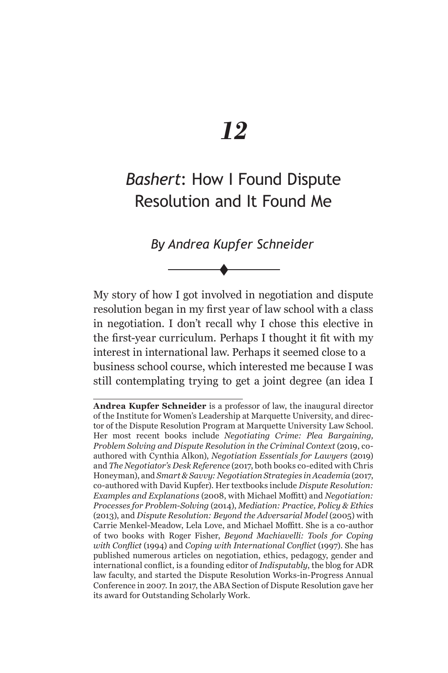# *12*

## *Bashert*: How I Found Dispute Resolution and It Found Me

*By Andrea Kupfer Schneider*\*

 $\blacklozenge$ 

My story of how I got involved in negotiation and dispute resolution began in my first year of law school with a class in negotiation. I don't recall why I chose this elective in the first-year curriculum. Perhaps I thought it fit with my interest in international law. Perhaps it seemed close to a business school course, which interested me because I was still contemplating trying to get a joint degree (an idea I

**Andrea Kupfer Schneider** is a professor of law, the inaugural director of the Institute for Women's Leadership at Marquette University, and director of the Dispute Resolution Program at Marquette University Law School. Her most recent books include *Negotiating Crime: Plea Bargaining, Problem Solving and Dispute Resolution in the Criminal Context* (2019, coauthored with Cynthia Alkon), *Negotiation Essentials for Lawyers* (2019) and *The Negotiator's Desk Reference* (2017, both books co-edited with Chris Honeyman), and *Smart & Savvy: Negotiation Strategies in Academia* (2017, co-authored with David Kupfer). Her textbooks include *Dispute Resolution: Examples and Explanations* (2008, with Michael Moffitt) and *Negotiation: Processes for Problem-Solving* (2014), *Mediation: Practice, Policy & Ethics*  (2013), and *Dispute Resolution: Beyond the Adversarial Model* (2005) with Carrie Menkel-Meadow, Lela Love, and Michael Moffitt. She is a co-author of two books with Roger Fisher, *Beyond Machiavelli: Tools for Coping with Conflict* (1994) and *Coping with International Conflict* (1997). She has published numerous articles on negotiation, ethics, pedagogy, gender and international conflict, is a founding editor of *Indisputably*, the blog for ADR law faculty, and started the Dispute Resolution Works-in-Progress Annual Conference in 2007. In 2017, the ABA Section of Dispute Resolution gave her its award for Outstanding Scholarly Work.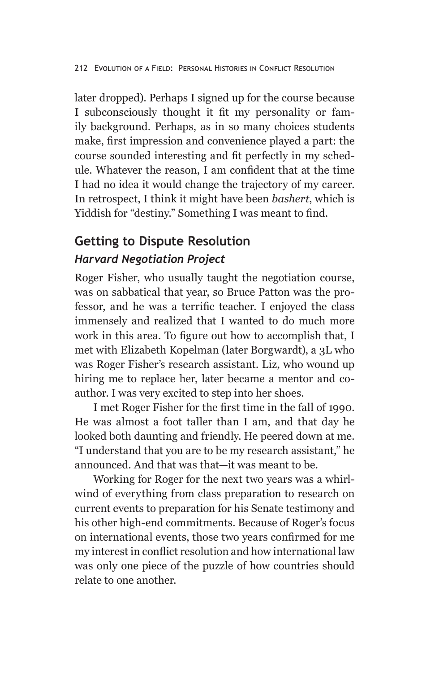later dropped). Perhaps I signed up for the course because I subconsciously thought it fit my personality or family background. Perhaps, as in so many choices students make, first impression and convenience played a part: the course sounded interesting and fit perfectly in my schedule. Whatever the reason, I am confident that at the time I had no idea it would change the trajectory of my career. In retrospect, I think it might have been *bashert*, which is Yiddish for "destiny." Something I was meant to find.

## **Getting to Dispute Resolution**

## *Harvard Negotiation Project*

Roger Fisher, who usually taught the negotiation course, was on sabbatical that year, so Bruce Patton was the professor, and he was a terrific teacher. I enjoyed the class immensely and realized that I wanted to do much more work in this area. To figure out how to accomplish that, I met with Elizabeth Kopelman (later Borgwardt), a 3L who was Roger Fisher's research assistant. Liz, who wound up hiring me to replace her, later became a mentor and coauthor. I was very excited to step into her shoes.

I met Roger Fisher for the first time in the fall of 1990. He was almost a foot taller than I am, and that day he looked both daunting and friendly. He peered down at me. "I understand that you are to be my research assistant," he announced. And that was that—it was meant to be.

Working for Roger for the next two years was a whirlwind of everything from class preparation to research on current events to preparation for his Senate testimony and his other high-end commitments. Because of Roger's focus on international events, those two years confirmed for me my interest in conflict resolution and how international law was only one piece of the puzzle of how countries should relate to one another.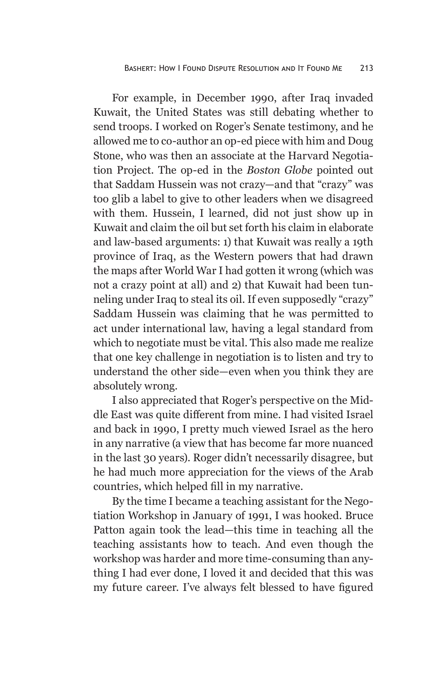For example, in December 1990, after Iraq invaded Kuwait, the United States was still debating whether to send troops. I worked on Roger's Senate testimony, and he allowed me to co-author an op-ed piece with him and Doug Stone, who was then an associate at the Harvard Negotiation Project. The op-ed in the *Boston Globe* pointed out that Saddam Hussein was not crazy—and that "crazy" was too glib a label to give to other leaders when we disagreed with them. Hussein, I learned, did not just show up in Kuwait and claim the oil but set forth his claim in elaborate and law-based arguments: 1) that Kuwait was really a 19th province of Iraq, as the Western powers that had drawn the maps after World War I had gotten it wrong (which was not a crazy point at all) and 2) that Kuwait had been tunneling under Iraq to steal its oil. If even supposedly "crazy" Saddam Hussein was claiming that he was permitted to act under international law, having a legal standard from which to negotiate must be vital. This also made me realize that one key challenge in negotiation is to listen and try to understand the other side—even when you think they are absolutely wrong.

I also appreciated that Roger's perspective on the Middle East was quite different from mine. I had visited Israel and back in 1990, I pretty much viewed Israel as the hero in any narrative (a view that has become far more nuanced in the last 30 years). Roger didn't necessarily disagree, but he had much more appreciation for the views of the Arab countries, which helped fill in my narrative.

By the time I became a teaching assistant for the Negotiation Workshop in January of 1991, I was hooked. Bruce Patton again took the lead—this time in teaching all the teaching assistants how to teach. And even though the workshop was harder and more time-consuming than anything I had ever done, I loved it and decided that this was my future career. I've always felt blessed to have figured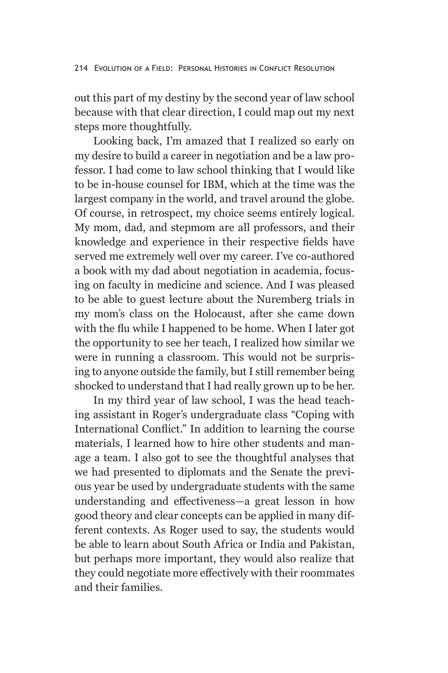out this part of my destiny by the second year of law school because with that clear direction, I could map out my next steps more thoughtfully.

Looking back, I'm amazed that I realized so early on my desire to build a career in negotiation and be a law professor. I had come to law school thinking that I would like to be in-house counsel for IBM, which at the time was the largest company in the world, and travel around the globe. Of course, in retrospect, my choice seems entirely logical. My mom, dad, and stepmom are all professors, and their knowledge and experience in their respective fields have served me extremely well over my career. I've co-authored a book with my dad about negotiation in academia, focusing on faculty in medicine and science. And I was pleased to be able to guest lecture about the Nuremberg trials in my mom's class on the Holocaust, after she came down with the flu while I happened to be home. When I later got the opportunity to see her teach, I realized how similar we were in running a classroom. This would not be surprising to anyone outside the family, but I still remember being shocked to understand that I had really grown up to be her.

In my third year of law school, I was the head teaching assistant in Roger's undergraduate class "Coping with International Conflict." In addition to learning the course materials, I learned how to hire other students and manage a team. I also got to see the thoughtful analyses that we had presented to diplomats and the Senate the previous year be used by undergraduate students with the same understanding and effectiveness—a great lesson in how good theory and clear concepts can be applied in many different contexts. As Roger used to say, the students would be able to learn about South Africa or India and Pakistan, but perhaps more important, they would also realize that they could negotiate more effectively with their roommates and their families.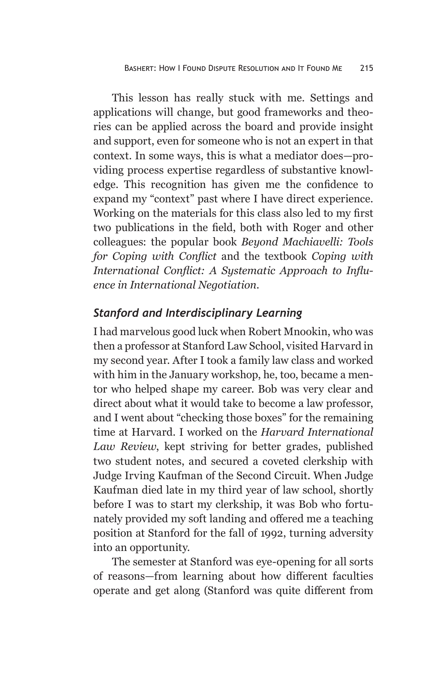This lesson has really stuck with me. Settings and applications will change, but good frameworks and theories can be applied across the board and provide insight and support, even for someone who is not an expert in that context. In some ways, this is what a mediator does—providing process expertise regardless of substantive knowledge. This recognition has given me the confidence to expand my "context" past where I have direct experience. Working on the materials for this class also led to my first two publications in the field, both with Roger and other colleagues: the popular book *Beyond Machiavelli: Tools for Coping with Conflict* and the textbook *Coping with International Conflict: A Systematic Approach to Influence in International Negotiation*.

#### *Stanford and Interdisciplinary Learning*

I had marvelous good luck when Robert Mnookin, who was then a professor at Stanford Law School, visited Harvard in my second year. After I took a family law class and worked with him in the January workshop, he, too, became a mentor who helped shape my career. Bob was very clear and direct about what it would take to become a law professor, and I went about "checking those boxes" for the remaining time at Harvard. I worked on the *Harvard International Law Review*, kept striving for better grades, published two student notes, and secured a coveted clerkship with Judge Irving Kaufman of the Second Circuit. When Judge Kaufman died late in my third year of law school, shortly before I was to start my clerkship, it was Bob who fortunately provided my soft landing and offered me a teaching position at Stanford for the fall of 1992, turning adversity into an opportunity.

The semester at Stanford was eye-opening for all sorts of reasons—from learning about how different faculties operate and get along (Stanford was quite different from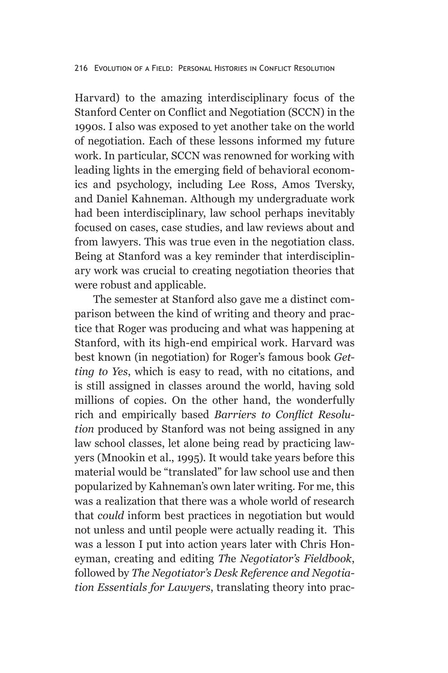Harvard) to the amazing interdisciplinary focus of the Stanford Center on Conflict and Negotiation (SCCN) in the 1990s. I also was exposed to yet another take on the world of negotiation. Each of these lessons informed my future work. In particular, SCCN was renowned for working with leading lights in the emerging field of behavioral economics and psychology, including Lee Ross, Amos Tversky, and Daniel Kahneman. Although my undergraduate work had been interdisciplinary, law school perhaps inevitably focused on cases, case studies, and law reviews about and from lawyers. This was true even in the negotiation class. Being at Stanford was a key reminder that interdisciplinary work was crucial to creating negotiation theories that were robust and applicable.

The semester at Stanford also gave me a distinct comparison between the kind of writing and theory and practice that Roger was producing and what was happening at Stanford, with its high-end empirical work. Harvard was best known (in negotiation) for Roger's famous book *Getting to Yes*, which is easy to read, with no citations, and is still assigned in classes around the world, having sold millions of copies. On the other hand, the wonderfully rich and empirically based *Barriers to Conflict Resolution* produced by Stanford was not being assigned in any law school classes, let alone being read by practicing lawyers (Mnookin et al., 1995). It would take years before this material would be "translated" for law school use and then popularized by Kahneman's own later writing. For me, this was a realization that there was a whole world of research that *could* inform best practices in negotiation but would not unless and until people were actually reading it. This was a lesson I put into action years later with Chris Honeyman, creating and editing *Th*e *Negotiator's Fieldbook*, followed by *The Negotiator's Desk Reference and Negotiation Essentials for Lawyers*, translating theory into prac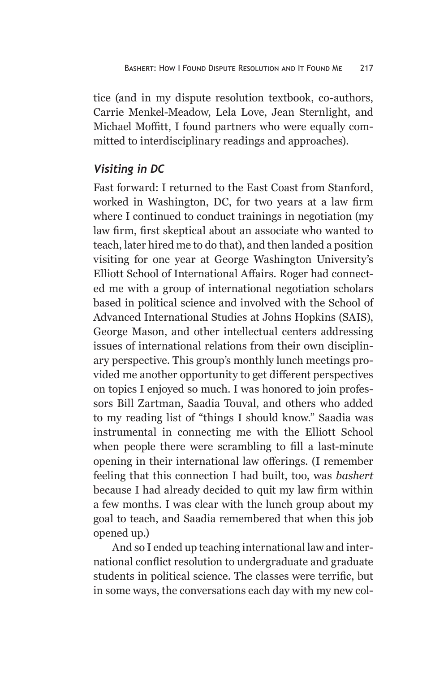tice (and in my dispute resolution textbook, co-authors, Carrie Menkel-Meadow, Lela Love, Jean Sternlight, and Michael Moffitt, I found partners who were equally committed to interdisciplinary readings and approaches).

## *Visiting in DC*

Fast forward: I returned to the East Coast from Stanford, worked in Washington, DC, for two years at a law firm where I continued to conduct trainings in negotiation (my law firm, first skeptical about an associate who wanted to teach, later hired me to do that), and then landed a position visiting for one year at George Washington University's Elliott School of International Affairs. Roger had connected me with a group of international negotiation scholars based in political science and involved with the School of Advanced International Studies at Johns Hopkins (SAIS), George Mason, and other intellectual centers addressing issues of international relations from their own disciplinary perspective. This group's monthly lunch meetings provided me another opportunity to get different perspectives on topics I enjoyed so much. I was honored to join professors Bill Zartman, Saadia Touval, and others who added to my reading list of "things I should know." Saadia was instrumental in connecting me with the Elliott School when people there were scrambling to fill a last-minute opening in their international law offerings. (I remember feeling that this connection I had built, too, was *bashert*  because I had already decided to quit my law firm within a few months. I was clear with the lunch group about my goal to teach, and Saadia remembered that when this job opened up.)

And so I ended up teaching international law and international conflict resolution to undergraduate and graduate students in political science. The classes were terrific, but in some ways, the conversations each day with my new col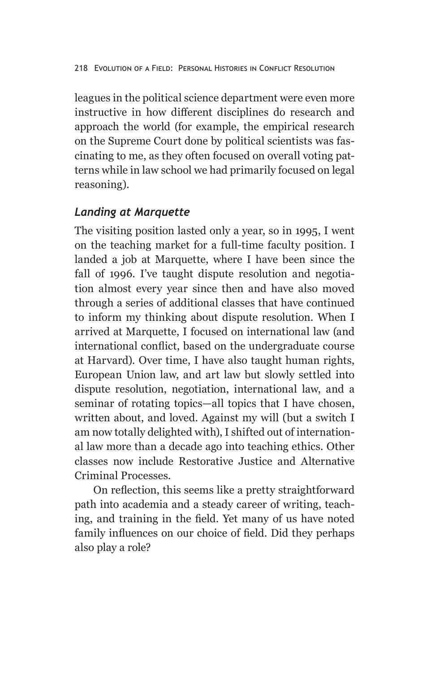leagues in the political science department were even more instructive in how different disciplines do research and approach the world (for example, the empirical research on the Supreme Court done by political scientists was fascinating to me, as they often focused on overall voting patterns while in law school we had primarily focused on legal reasoning).

#### *Landing at Marquette*

The visiting position lasted only a year, so in 1995, I went on the teaching market for a full-time faculty position. I landed a job at Marquette, where I have been since the fall of 1996. I've taught dispute resolution and negotiation almost every year since then and have also moved through a series of additional classes that have continued to inform my thinking about dispute resolution. When I arrived at Marquette, I focused on international law (and international conflict, based on the undergraduate course at Harvard). Over time, I have also taught human rights, European Union law, and art law but slowly settled into dispute resolution, negotiation, international law, and a seminar of rotating topics—all topics that I have chosen, written about, and loved. Against my will (but a switch I am now totally delighted with), I shifted out of international law more than a decade ago into teaching ethics. Other classes now include Restorative Justice and Alternative Criminal Processes.

On reflection, this seems like a pretty straightforward path into academia and a steady career of writing, teaching, and training in the field. Yet many of us have noted family influences on our choice of field. Did they perhaps also play a role?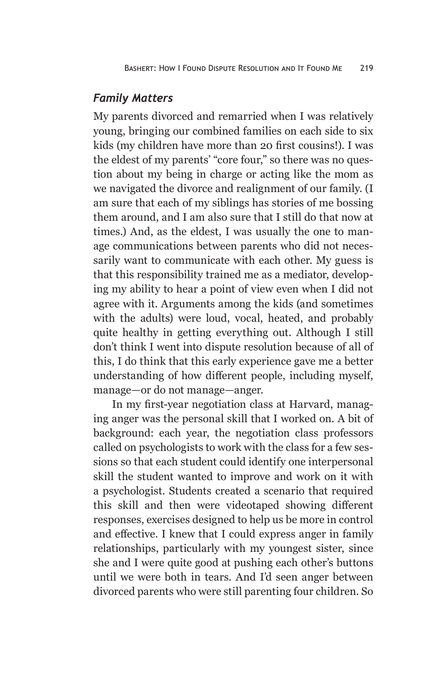#### *Family Matters*

My parents divorced and remarried when I was relatively young, bringing our combined families on each side to six kids (my children have more than 20 first cousins!). I was the eldest of my parents' "core four," so there was no question about my being in charge or acting like the mom as we navigated the divorce and realignment of our family. (I am sure that each of my siblings has stories of me bossing them around, and I am also sure that I still do that now at times.) And, as the eldest, I was usually the one to manage communications between parents who did not necessarily want to communicate with each other. My guess is that this responsibility trained me as a mediator, developing my ability to hear a point of view even when I did not agree with it. Arguments among the kids (and sometimes with the adults) were loud, vocal, heated, and probably quite healthy in getting everything out. Although I still don't think I went into dispute resolution because of all of this, I do think that this early experience gave me a better understanding of how different people, including myself, manage—or do not manage—anger.

In my first-year negotiation class at Harvard, managing anger was the personal skill that I worked on. A bit of background: each year, the negotiation class professors called on psychologists to work with the class for a few sessions so that each student could identify one interpersonal skill the student wanted to improve and work on it with a psychologist. Students created a scenario that required this skill and then were videotaped showing different responses, exercises designed to help us be more in control and effective. I knew that I could express anger in family relationships, particularly with my youngest sister, since she and I were quite good at pushing each other's buttons until we were both in tears. And I'd seen anger between divorced parents who were still parenting four children. So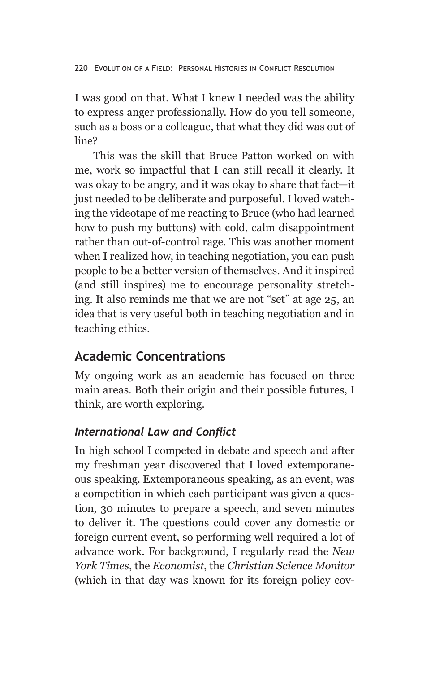I was good on that. What I knew I needed was the ability to express anger professionally. How do you tell someone, such as a boss or a colleague, that what they did was out of line?

This was the skill that Bruce Patton worked on with me, work so impactful that I can still recall it clearly. It was okay to be angry, and it was okay to share that fact—it just needed to be deliberate and purposeful. I loved watching the videotape of me reacting to Bruce (who had learned how to push my buttons) with cold, calm disappointment rather than out-of-control rage. This was another moment when I realized how, in teaching negotiation, you can push people to be a better version of themselves. And it inspired (and still inspires) me to encourage personality stretching. It also reminds me that we are not "set" at age 25, an idea that is very useful both in teaching negotiation and in teaching ethics.

## **Academic Concentrations**

My ongoing work as an academic has focused on three main areas. Both their origin and their possible futures, I think, are worth exploring.

## *International Law and Conflict*

In high school I competed in debate and speech and after my freshman year discovered that I loved extemporaneous speaking. Extemporaneous speaking, as an event, was a competition in which each participant was given a question, 30 minutes to prepare a speech, and seven minutes to deliver it. The questions could cover any domestic or foreign current event, so performing well required a lot of advance work. For background, I regularly read the *New York Times*, the *Economist*, the *Christian Science Monitor*  (which in that day was known for its foreign policy cov-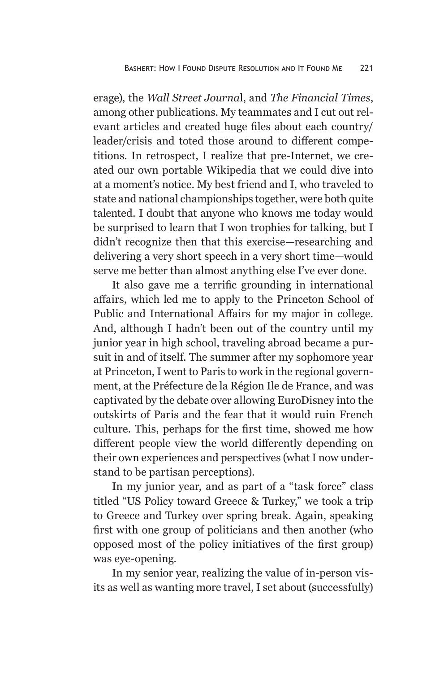erage), the *Wall Street Journa*l, and *The Financial Times*, among other publications. My teammates and I cut out relevant articles and created huge files about each country/ leader/crisis and toted those around to different competitions. In retrospect, I realize that pre-Internet, we created our own portable Wikipedia that we could dive into at a moment's notice. My best friend and I, who traveled to state and national championships together, were both quite talented. I doubt that anyone who knows me today would be surprised to learn that I won trophies for talking, but I didn't recognize then that this exercise—researching and delivering a very short speech in a very short time—would serve me better than almost anything else I've ever done.

It also gave me a terrific grounding in international affairs, which led me to apply to the Princeton School of Public and International Affairs for my major in college. And, although I hadn't been out of the country until my junior year in high school, traveling abroad became a pursuit in and of itself. The summer after my sophomore year at Princeton, I went to Paris to work in the regional government, at the Préfecture de la Région Ile de France, and was captivated by the debate over allowing EuroDisney into the outskirts of Paris and the fear that it would ruin French culture. This, perhaps for the first time, showed me how different people view the world differently depending on their own experiences and perspectives (what I now understand to be partisan perceptions).

In my junior year, and as part of a "task force" class titled "US Policy toward Greece & Turkey," we took a trip to Greece and Turkey over spring break. Again, speaking first with one group of politicians and then another (who opposed most of the policy initiatives of the first group) was eye-opening.

In my senior year, realizing the value of in-person visits as well as wanting more travel, I set about (successfully)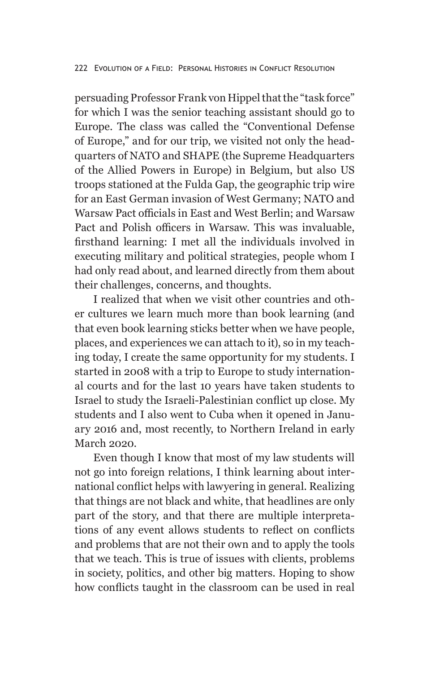persuading Professor Frank von Hippel that the "task force" for which I was the senior teaching assistant should go to Europe. The class was called the "Conventional Defense of Europe," and for our trip, we visited not only the headquarters of NATO and SHAPE (the Supreme Headquarters of the Allied Powers in Europe) in Belgium, but also US troops stationed at the Fulda Gap, the geographic trip wire for an East German invasion of West Germany; NATO and Warsaw Pact officials in East and West Berlin; and Warsaw Pact and Polish officers in Warsaw. This was invaluable, firsthand learning: I met all the individuals involved in executing military and political strategies, people whom I had only read about, and learned directly from them about their challenges, concerns, and thoughts.

I realized that when we visit other countries and other cultures we learn much more than book learning (and that even book learning sticks better when we have people, places, and experiences we can attach to it), so in my teaching today, I create the same opportunity for my students. I started in 2008 with a trip to Europe to study international courts and for the last 10 years have taken students to Israel to study the Israeli-Palestinian conflict up close. My students and I also went to Cuba when it opened in January 2016 and, most recently, to Northern Ireland in early March 2020.

Even though I know that most of my law students will not go into foreign relations, I think learning about international conflict helps with lawyering in general. Realizing that things are not black and white, that headlines are only part of the story, and that there are multiple interpretations of any event allows students to reflect on conflicts and problems that are not their own and to apply the tools that we teach. This is true of issues with clients, problems in society, politics, and other big matters. Hoping to show how conflicts taught in the classroom can be used in real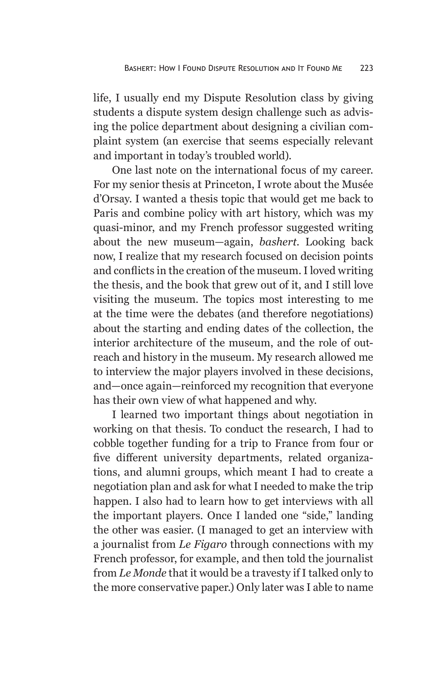life, I usually end my Dispute Resolution class by giving students a dispute system design challenge such as advising the police department about designing a civilian complaint system (an exercise that seems especially relevant and important in today's troubled world).

One last note on the international focus of my career. For my senior thesis at Princeton, I wrote about the Musée d'Orsay. I wanted a thesis topic that would get me back to Paris and combine policy with art history, which was my quasi-minor, and my French professor suggested writing about the new museum—again, *bashert*. Looking back now, I realize that my research focused on decision points and conflicts in the creation of the museum. I loved writing the thesis, and the book that grew out of it, and I still love visiting the museum. The topics most interesting to me at the time were the debates (and therefore negotiations) about the starting and ending dates of the collection, the interior architecture of the museum, and the role of outreach and history in the museum. My research allowed me to interview the major players involved in these decisions, and—once again—reinforced my recognition that everyone has their own view of what happened and why.

I learned two important things about negotiation in working on that thesis. To conduct the research, I had to cobble together funding for a trip to France from four or five different university departments, related organizations, and alumni groups, which meant I had to create a negotiation plan and ask for what I needed to make the trip happen. I also had to learn how to get interviews with all the important players. Once I landed one "side," landing the other was easier. (I managed to get an interview with a journalist from *Le Figaro* through connections with my French professor, for example, and then told the journalist from *Le Monde* that it would be a travesty if I talked only to the more conservative paper.) Only later was I able to name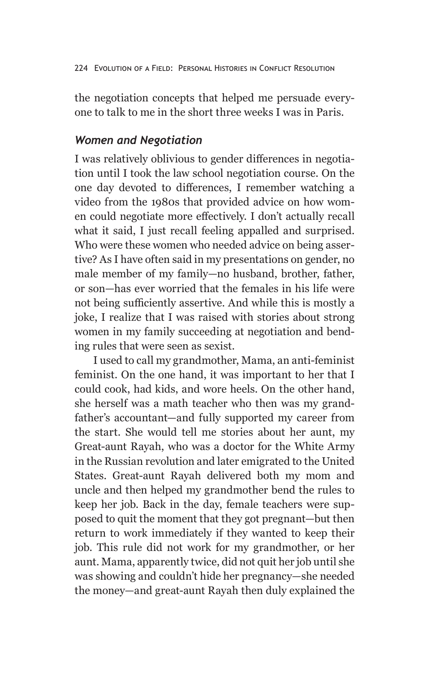the negotiation concepts that helped me persuade everyone to talk to me in the short three weeks I was in Paris.

#### *Women and Negotiation*

I was relatively oblivious to gender differences in negotiation until I took the law school negotiation course. On the one day devoted to differences, I remember watching a video from the 1980s that provided advice on how women could negotiate more effectively. I don't actually recall what it said, I just recall feeling appalled and surprised. Who were these women who needed advice on being assertive? As I have often said in my presentations on gender, no male member of my family—no husband, brother, father, or son—has ever worried that the females in his life were not being sufficiently assertive. And while this is mostly a joke, I realize that I was raised with stories about strong women in my family succeeding at negotiation and bending rules that were seen as sexist.

I used to call my grandmother, Mama, an anti-feminist feminist. On the one hand, it was important to her that I could cook, had kids, and wore heels. On the other hand, she herself was a math teacher who then was my grandfather's accountant—and fully supported my career from the start. She would tell me stories about her aunt, my Great-aunt Rayah, who was a doctor for the White Army in the Russian revolution and later emigrated to the United States. Great-aunt Rayah delivered both my mom and uncle and then helped my grandmother bend the rules to keep her job. Back in the day, female teachers were supposed to quit the moment that they got pregnant—but then return to work immediately if they wanted to keep their job. This rule did not work for my grandmother, or her aunt. Mama, apparently twice, did not quit her job until she was showing and couldn't hide her pregnancy—she needed the money—and great-aunt Rayah then duly explained the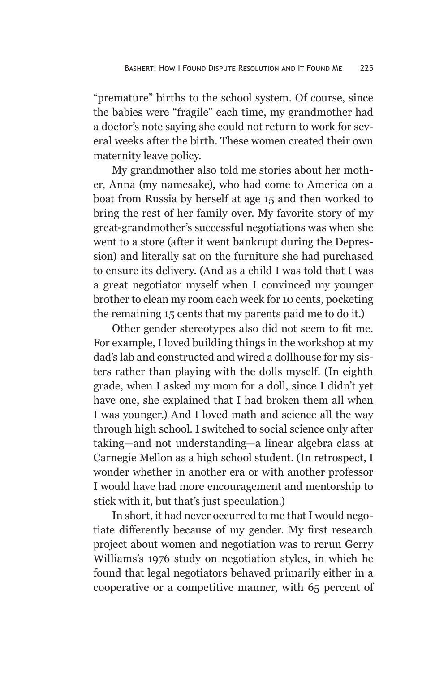"premature" births to the school system. Of course, since the babies were "fragile" each time, my grandmother had a doctor's note saying she could not return to work for several weeks after the birth. These women created their own maternity leave policy.

My grandmother also told me stories about her mother, Anna (my namesake), who had come to America on a boat from Russia by herself at age 15 and then worked to bring the rest of her family over. My favorite story of my great-grandmother's successful negotiations was when she went to a store (after it went bankrupt during the Depression) and literally sat on the furniture she had purchased to ensure its delivery. (And as a child I was told that I was a great negotiator myself when I convinced my younger brother to clean my room each week for 10 cents, pocketing the remaining 15 cents that my parents paid me to do it.)

Other gender stereotypes also did not seem to fit me. For example, I loved building things in the workshop at my dad's lab and constructed and wired a dollhouse for my sisters rather than playing with the dolls myself. (In eighth grade, when I asked my mom for a doll, since I didn't yet have one, she explained that I had broken them all when I was younger.) And I loved math and science all the way through high school. I switched to social science only after taking—and not understanding—a linear algebra class at Carnegie Mellon as a high school student. (In retrospect, I wonder whether in another era or with another professor I would have had more encouragement and mentorship to stick with it, but that's just speculation.)

In short, it had never occurred to me that I would negotiate differently because of my gender. My first research project about women and negotiation was to rerun Gerry Williams's 1976 study on negotiation styles, in which he found that legal negotiators behaved primarily either in a cooperative or a competitive manner, with 65 percent of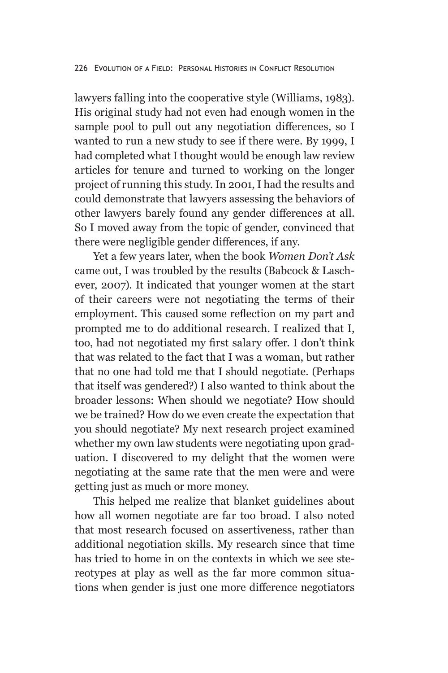lawyers falling into the cooperative style (Williams, 1983). His original study had not even had enough women in the sample pool to pull out any negotiation differences, so I wanted to run a new study to see if there were. By 1999, I had completed what I thought would be enough law review articles for tenure and turned to working on the longer project of running this study. In 2001, I had the results and could demonstrate that lawyers assessing the behaviors of other lawyers barely found any gender differences at all. So I moved away from the topic of gender, convinced that there were negligible gender differences, if any.

Yet a few years later, when the book *Women Don't Ask*  came out, I was troubled by the results (Babcock & Laschever, 2007). It indicated that younger women at the start of their careers were not negotiating the terms of their employment. This caused some reflection on my part and prompted me to do additional research. I realized that I, too, had not negotiated my first salary offer. I don't think that was related to the fact that I was a woman, but rather that no one had told me that I should negotiate. (Perhaps that itself was gendered?) I also wanted to think about the broader lessons: When should we negotiate? How should we be trained? How do we even create the expectation that you should negotiate? My next research project examined whether my own law students were negotiating upon graduation. I discovered to my delight that the women were negotiating at the same rate that the men were and were getting just as much or more money.

This helped me realize that blanket guidelines about how all women negotiate are far too broad. I also noted that most research focused on assertiveness, rather than additional negotiation skills. My research since that time has tried to home in on the contexts in which we see stereotypes at play as well as the far more common situations when gender is just one more difference negotiators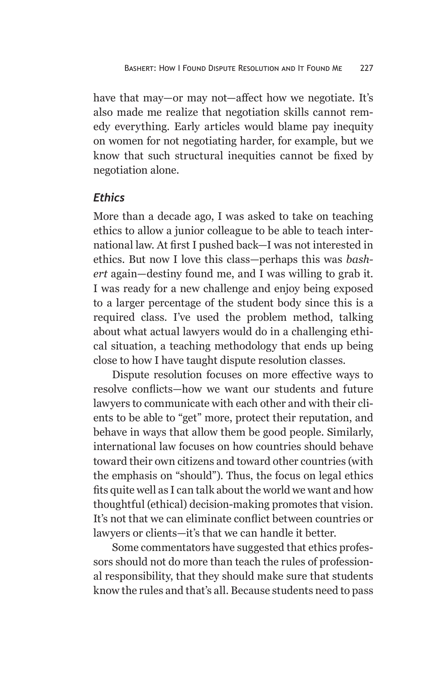have that may—or may not—affect how we negotiate. It's also made me realize that negotiation skills cannot remedy everything. Early articles would blame pay inequity on women for not negotiating harder, for example, but we know that such structural inequities cannot be fixed by negotiation alone.

#### *Ethics*

More than a decade ago, I was asked to take on teaching ethics to allow a junior colleague to be able to teach international law. At first I pushed back—I was not interested in ethics. But now I love this class—perhaps this was *bashert* again—destiny found me, and I was willing to grab it. I was ready for a new challenge and enjoy being exposed to a larger percentage of the student body since this is a required class. I've used the problem method, talking about what actual lawyers would do in a challenging ethical situation, a teaching methodology that ends up being close to how I have taught dispute resolution classes.

Dispute resolution focuses on more effective ways to resolve conflicts—how we want our students and future lawyers to communicate with each other and with their clients to be able to "get" more, protect their reputation, and behave in ways that allow them be good people. Similarly, international law focuses on how countries should behave toward their own citizens and toward other countries (with the emphasis on "should"). Thus, the focus on legal ethics fits quite well as I can talk about the world we want and how thoughtful (ethical) decision-making promotes that vision. It's not that we can eliminate conflict between countries or lawyers or clients—it's that we can handle it better.

Some commentators have suggested that ethics professors should not do more than teach the rules of professional responsibility, that they should make sure that students know the rules and that's all. Because students need to pass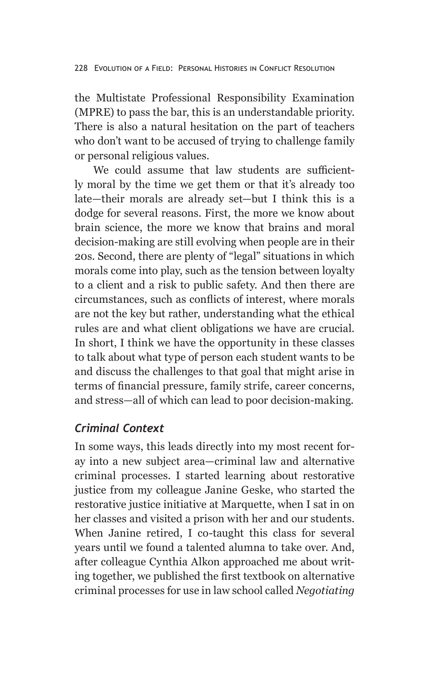the Multistate Professional Responsibility Examination (MPRE) to pass the bar, this is an understandable priority. There is also a natural hesitation on the part of teachers who don't want to be accused of trying to challenge family or personal religious values.

We could assume that law students are sufficiently moral by the time we get them or that it's already too late—their morals are already set—but I think this is a dodge for several reasons. First, the more we know about brain science, the more we know that brains and moral decision-making are still evolving when people are in their 20s. Second, there are plenty of "legal" situations in which morals come into play, such as the tension between loyalty to a client and a risk to public safety. And then there are circumstances, such as conflicts of interest, where morals are not the key but rather, understanding what the ethical rules are and what client obligations we have are crucial. In short, I think we have the opportunity in these classes to talk about what type of person each student wants to be and discuss the challenges to that goal that might arise in terms of financial pressure, family strife, career concerns, and stress—all of which can lead to poor decision-making.

## *Criminal Context*

In some ways, this leads directly into my most recent foray into a new subject area—criminal law and alternative criminal processes. I started learning about restorative justice from my colleague Janine Geske, who started the restorative justice initiative at Marquette, when I sat in on her classes and visited a prison with her and our students. When Janine retired, I co-taught this class for several years until we found a talented alumna to take over. And, after colleague Cynthia Alkon approached me about writing together, we published the first textbook on alternative criminal processes for use in law school called *Negotiating*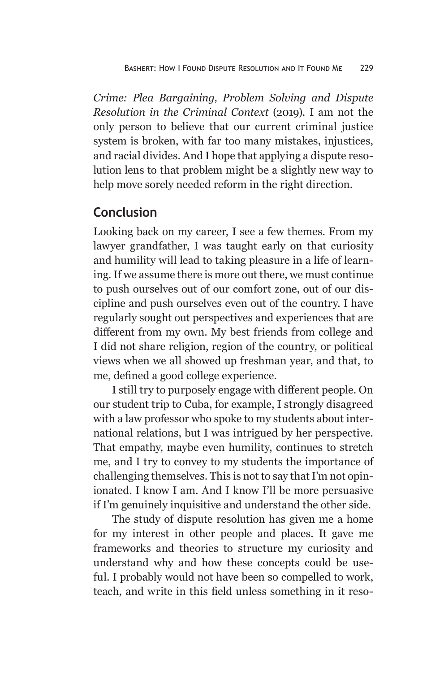*Crime: Plea Bargaining, Problem Solving and Dispute Resolution in the Criminal Context* (2019). I am not the only person to believe that our current criminal justice system is broken, with far too many mistakes, injustices, and racial divides. And I hope that applying a dispute resolution lens to that problem might be a slightly new way to help move sorely needed reform in the right direction.

## **Conclusion**

Looking back on my career, I see a few themes. From my lawyer grandfather, I was taught early on that curiosity and humility will lead to taking pleasure in a life of learning. If we assume there is more out there, we must continue to push ourselves out of our comfort zone, out of our discipline and push ourselves even out of the country. I have regularly sought out perspectives and experiences that are different from my own. My best friends from college and I did not share religion, region of the country, or political views when we all showed up freshman year, and that, to me, defined a good college experience.

I still try to purposely engage with different people. On our student trip to Cuba, for example, I strongly disagreed with a law professor who spoke to my students about international relations, but I was intrigued by her perspective. That empathy, maybe even humility, continues to stretch me, and I try to convey to my students the importance of challenging themselves. This is not to say that I'm not opinionated. I know I am. And I know I'll be more persuasive if I'm genuinely inquisitive and understand the other side.

The study of dispute resolution has given me a home for my interest in other people and places. It gave me frameworks and theories to structure my curiosity and understand why and how these concepts could be useful. I probably would not have been so compelled to work, teach, and write in this field unless something in it reso